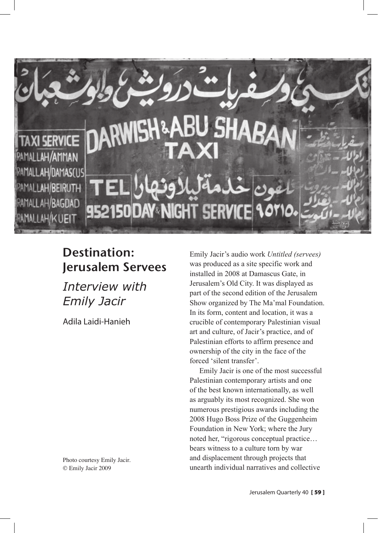

# Destination: Jerusalem Servees

*Interview with Emily Jacir*

Adila Laidi-Hanieh

Photo courtesy Emily Jacir. © Emily Jacir 2009

Emily Jacir's audio work *Untitled (servees)* was produced as a site specific work and installed in 2008 at Damascus Gate, in Jerusalem's Old City. It was displayed as part of the second edition of the Jerusalem Show organized by The Ma'mal Foundation. In its form, content and location, it was a crucible of contemporary Palestinian visual art and culture, of Jacir's practice, and of Palestinian efforts to affirm presence and ownership of the city in the face of the forced 'silent transfer'.

Emily Jacir is one of the most successful Palestinian contemporary artists and one of the best known internationally, as well as arguably its most recognized. She won numerous prestigious awards including the 2008 Hugo Boss Prize of the Guggenheim Foundation in New York; where the Jury noted her, "rigorous conceptual practice… bears witness to a culture torn by war and displacement through projects that unearth individual narratives and collective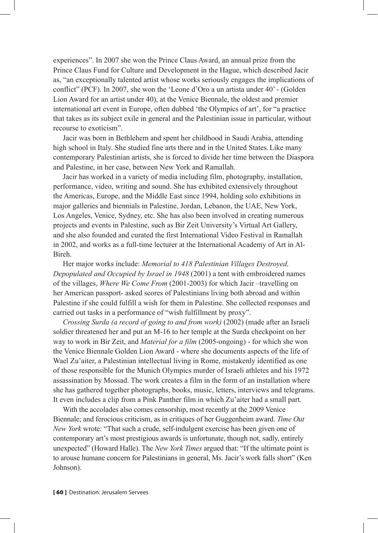experiences". In 2007 she won the Prince Claus Award, an annual prize from the Prince Claus Fund for Culture and Development in the Hague, which described Jacir as, "an exceptionally talented artist whose works seriously engages the implications of conflict" (PCF). In 2007, she won the 'Leone d'Oro a un artista under 40' - (Golden Lion Award for an artist under 40), at the Venice Biennale, the oldest and premier international art event in Europe, often dubbed 'the Olympics of art', for "a practice that takes as its subject exile in general and the Palestinian issue in particular, without recourse to exoticism".

Jacir was born in Bethlehem and spent her childhood in Saudi Arabia, attending high school in Italy. She studied fine arts there and in the United States. Like many contemporary Palestinian artists, she is forced to divide her time between the Diaspora and Palestine, in her case, between New York and Ramallah.

Jacir has worked in a variety of media including film, photography, installation, performance, video, writing and sound. She has exhibited extensively throughout the Americas, Europe, and the Middle East since 1994, holding solo exhibitions in major galleries and biennials in Palestine, Jordan, Lebanon, the UAE, New York, Los Angeles, Venice, Sydney, etc. She has also been involved in creating numerous projects and events in Palestine, such as Bir Zeit University's Virtual Art Gallery, and she also founded and curated the first International Video Festival in Ramallah in 2002, and works as a full-time lecturer at the International Academy of Art in Al-Bireh.

Her major works include: *Memorial to 418 Palestinian Villages Destroyed, Depopulated and Occupied by Israel in 1948* (2001) a tent with embroidered names of the villages, *Where We Come From* (2001-2003) for which Jacir –travelling on her American passport- asked scores of Palestinians living both abroad and within Palestine if she could fulfill a wish for them in Palestine. She collected responses and carried out tasks in a performance of "wish fulfillment by proxy".

*Crossing Surda (a record of going to and from work)* (2002) (made after an Israeli soldier threatened her and put an M-16 to her temple at the Surda checkpoint on her way to work in Bir Zeit, and *Material for a film* (2005-ongoing) - for which she won the Venice Biennale Golden Lion Award - where she documents aspects of the life of Wael Zu'aiter, a Palestinian intellectual living in Rome, mistakenly identified as one of those responsible for the Munich Olympics murder of Israeli athletes and his 1972 assassination by Mossad. The work creates a film in the form of an installation where she has gathered together photographs, books, music, letters, interviews and telegrams. It even includes a clip from a Pink Panther film in which Zu'aiter had a small part.

With the accolades also comes censorship, most recently at the 2009 Venice Biennale; and ferocious criticism, as in critiques of her Guggenheim award. *Time Out New York* wrote: "That such a crude, self-indulgent exercise has been given one of contemporary art's most prestigious awards is unfortunate, though not, sadly, entirely unexpected" (Howard Halle). The *New York Times* argued that: "If the ultimate point is to arouse humane concern for Palestinians in general, Ms. Jacir's work falls short" (Ken Johnson).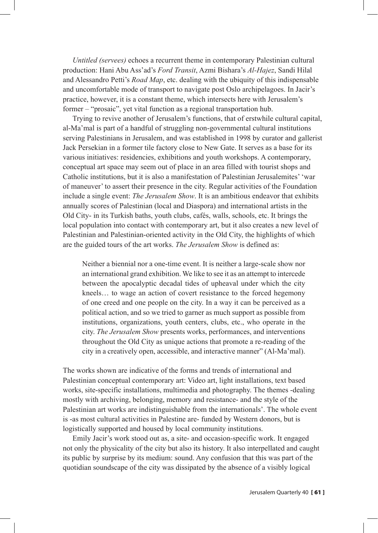*Untitled (servees)* echoes a recurrent theme in contemporary Palestinian cultural production: Hani Abu Ass'ad's *Ford Transit*, Azmi Bishara's *Al-Hajez*, Sandi Hilal and Alessandro Petti's *Road Map*, etc. dealing with the ubiquity of this indispensable and uncomfortable mode of transport to navigate post Oslo archipelagoes. In Jacir's practice, however, it is a constant theme, which intersects here with Jerusalem's former – "prosaic", yet vital function as a regional transportation hub.

Trying to revive another of Jerusalem's functions, that of erstwhile cultural capital, al-Ma'mal is part of a handful of struggling non-governmental cultural institutions serving Palestinians in Jerusalem, and was established in 1998 by curator and gallerist Jack Persekian in a former tile factory close to New Gate. It serves as a base for its various initiatives: residencies, exhibitions and youth workshops. A contemporary, conceptual art space may seem out of place in an area filled with tourist shops and Catholic institutions, but it is also a manifestation of Palestinian Jerusalemites' 'war of maneuver' to assert their presence in the city. Regular activities of the Foundation include a single event: *The Jerusalem Show*. It is an ambitious endeavor that exhibits annually scores of Palestinian (local and Diaspora) and international artists in the Old City- in its Turkish baths, youth clubs, cafés, walls, schools, etc. It brings the local population into contact with contemporary art, but it also creates a new level of Palestinian and Palestinian-oriented activity in the Old City, the highlights of which are the guided tours of the art works. *The Jerusalem Show* is defined as:

Neither a biennial nor a one-time event. It is neither a large-scale show nor an international grand exhibition. We like to see it as an attempt to intercede between the apocalyptic decadal tides of upheaval under which the city kneels… to wage an action of covert resistance to the forced hegemony of one creed and one people on the city. In a way it can be perceived as a political action, and so we tried to garner as much support as possible from institutions, organizations, youth centers, clubs, etc., who operate in the city. *The Jerusalem Show* presents works, performances, and interventions throughout the Old City as unique actions that promote a re-reading of the city in a creatively open, accessible, and interactive manner" (Al-Ma'mal).

The works shown are indicative of the forms and trends of international and Palestinian conceptual contemporary art: Video art, light installations, text based works, site-specific installations, multimedia and photography. The themes -dealing mostly with archiving, belonging, memory and resistance- and the style of the Palestinian art works are indistinguishable from the internationals'. The whole event is -as most cultural activities in Palestine are- funded by Western donors, but is logistically supported and housed by local community institutions.

Emily Jacir's work stood out as, a site- and occasion-specific work. It engaged not only the physicality of the city but also its history. It also interpellated and caught its public by surprise by its medium: sound. Any confusion that this was part of the quotidian soundscape of the city was dissipated by the absence of a visibly logical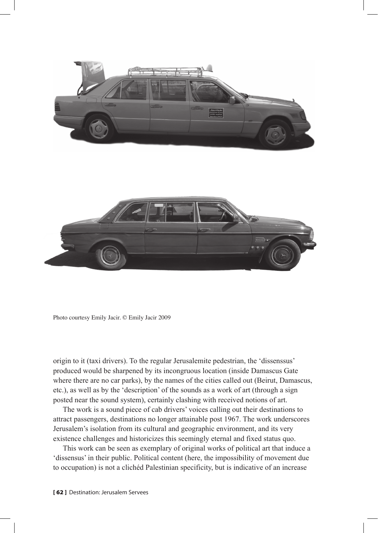



Photo courtesy Emily Jacir. © Emily Jacir 2009

origin to it (taxi drivers). To the regular Jerusalemite pedestrian, the 'dissenssus' produced would be sharpened by its incongruous location (inside Damascus Gate where there are no car parks), by the names of the cities called out (Beirut, Damascus, etc.), as well as by the 'description' of the sounds as a work of art (through a sign posted near the sound system), certainly clashing with received notions of art.

The work is a sound piece of cab drivers' voices calling out their destinations to attract passengers, destinations no longer attainable post 1967. The work underscores Jerusalem's isolation from its cultural and geographic environment, and its very existence challenges and historicizes this seemingly eternal and fixed status quo.

This work can be seen as exemplary of original works of political art that induce a 'dissensus' in their public. Political content (here, the impossibility of movement due to occupation) is not a clichéd Palestinian specificity, but is indicative of an increase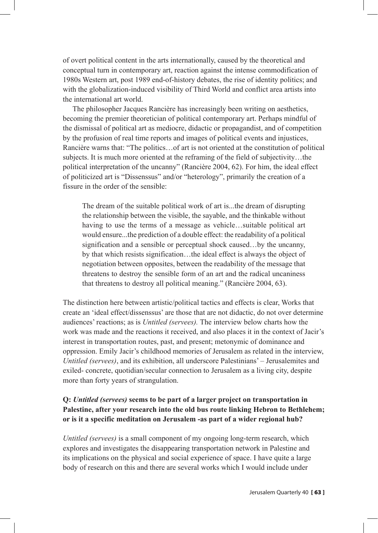of overt political content in the arts internationally, caused by the theoretical and conceptual turn in contemporary art, reaction against the intense commodification of 1980s Western art, post 1989 end-of-history debates, the rise of identity politics; and with the globalization-induced visibility of Third World and conflict area artists into the international art world.

The philosopher Jacques Rancière has increasingly been writing on aesthetics, becoming the premier theoretician of political contemporary art. Perhaps mindful of the dismissal of political art as mediocre, didactic or propagandist, and of competition by the profusion of real time reports and images of political events and injustices, Rancière warns that: "The politics…of art is not oriented at the constitution of political subjects. It is much more oriented at the reframing of the field of subjectivity…the political interpretation of the uncanny" (Rancière 2004, 62). For him, the ideal effect of politicized art is "Dissenssus" and/or "heterology", primarily the creation of a fissure in the order of the sensible:

The dream of the suitable political work of art is...the dream of disrupting the relationship between the visible, the sayable, and the thinkable without having to use the terms of a message as vehicle...suitable political art would ensure...the prediction of a double effect: the readability of a political signification and a sensible or perceptual shock caused…by the uncanny, by that which resists signification…the ideal effect is always the object of negotiation between opposites, between the readability of the message that threatens to destroy the sensible form of an art and the radical uncaniness that threatens to destroy all political meaning." (Rancière 2004, 63).

The distinction here between artistic/political tactics and effects is clear, Works that create an 'ideal effect/dissenssus' are those that are not didactic, do not over determine audiences' reactions; as is *Untitled (servees).* The interview below charts how the work was made and the reactions it received, and also places it in the context of Jacir's interest in transportation routes, past, and present; metonymic of dominance and oppression. Emily Jacir's childhood memories of Jerusalem as related in the interview, *Untitled (servees)*, and its exhibition, all underscore Palestinians' – Jerusalemites and exiled- concrete, quotidian/secular connection to Jerusalem as a living city, despite more than forty years of strangulation.

## **Q:** *Untitled (servees)* **seems to be part of a larger project on transportation in Palestine, after your research into the old bus route linking Hebron to Bethlehem; or is it a specific meditation on Jerusalem -as part of a wider regional hub?**

*Untitled (servees)* is a small component of my ongoing long-term research, which explores and investigates the disappearing transportation network in Palestine and its implications on the physical and social experience of space. I have quite a large body of research on this and there are several works which I would include under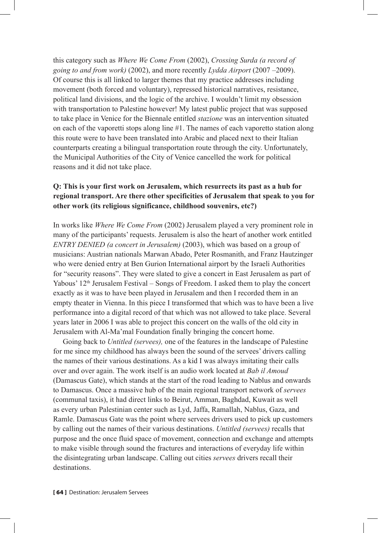this category such as *Where We Come From* (2002), *Crossing Surda (a record of going to and from work)* (2002), and more recently *Lydda Airport* (2007 –2009). Of course this is all linked to larger themes that my practice addresses including movement (both forced and voluntary), repressed historical narratives, resistance, political land divisions, and the logic of the archive. I wouldn't limit my obsession with transportation to Palestine however! My latest public project that was supposed to take place in Venice for the Biennale entitled *stazione* was an intervention situated on each of the vaporetti stops along line #1. The names of each vaporetto station along this route were to have been translated into Arabic and placed next to their Italian counterparts creating a bilingual transportation route through the city. Unfortunately, the Municipal Authorities of the City of Venice cancelled the work for political reasons and it did not take place.

## **Q: This is your first work on Jerusalem, which resurrects its past as a hub for regional transport. Are there other specificities of Jerusalem that speak to you for other work (its religious significance, childhood souvenirs, etc?)**

In works like *Where We Come From* (2002) Jerusalem played a very prominent role in many of the participants' requests. Jerusalem is also the heart of another work entitled *ENTRY DENIED (a concert in Jerusalem)* (2003), which was based on a group of musicians: Austrian nationals Marwan Abado, Peter Rosmanith, and Franz Hautzinger who were denied entry at Ben Gurion International airport by the Israeli Authorities for "security reasons". They were slated to give a concert in East Jerusalem as part of Yabous' 12th Jerusalem Festival – Songs of Freedom. I asked them to play the concert exactly as it was to have been played in Jerusalem and then I recorded them in an empty theater in Vienna. In this piece I transformed that which was to have been a live performance into a digital record of that which was not allowed to take place. Several years later in 2006 I was able to project this concert on the walls of the old city in Jerusalem with Al-Ma'mal Foundation finally bringing the concert home.

Going back to *Untitled (servees),* one of the features in the landscape of Palestine for me since my childhood has always been the sound of the servees' drivers calling the names of their various destinations. As a kid I was always imitating their calls over and over again. The work itself is an audio work located at *Bab il Amoud* (Damascus Gate), which stands at the start of the road leading to Nablus and onwards to Damascus. Once a massive hub of the main regional transport network of *servees* (communal taxis), it had direct links to Beirut, Amman, Baghdad, Kuwait as well as every urban Palestinian center such as Lyd, Jaffa, Ramallah, Nablus, Gaza, and Ramle. Damascus Gate was the point where servees drivers used to pick up customers by calling out the names of their various destinations. *Untitled (servees)* recalls that purpose and the once fluid space of movement, connection and exchange and attempts to make visible through sound the fractures and interactions of everyday life within the disintegrating urban landscape. Calling out cities *servees* drivers recall their destinations.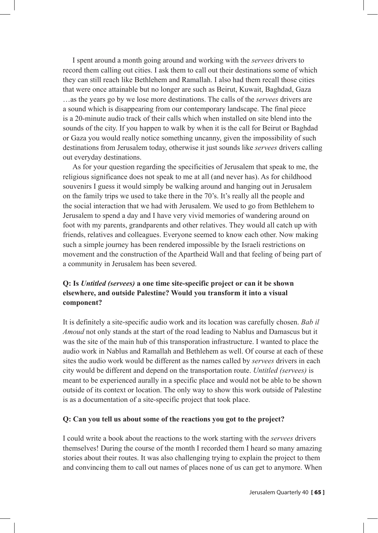I spent around a month going around and working with the *servees* drivers to record them calling out cities. I ask them to call out their destinations some of which they can still reach like Bethlehem and Ramallah. I also had them recall those cities that were once attainable but no longer are such as Beirut, Kuwait, Baghdad, Gaza …as the years go by we lose more destinations. The calls of the *servees* drivers are a sound which is disappearing from our contemporary landscape. The final piece is a 20-minute audio track of their calls which when installed on site blend into the sounds of the city. If you happen to walk by when it is the call for Beirut or Baghdad or Gaza you would really notice something uncanny, given the impossibility of such destinations from Jerusalem today, otherwise it just sounds like *servees* drivers calling out everyday destinations.

As for your question regarding the specificities of Jerusalem that speak to me, the religious significance does not speak to me at all (and never has). As for childhood souvenirs I guess it would simply be walking around and hanging out in Jerusalem on the family trips we used to take there in the 70's. It's really all the people and the social interaction that we had with Jerusalem. We used to go from Bethlehem to Jerusalem to spend a day and I have very vivid memories of wandering around on foot with my parents, grandparents and other relatives. They would all catch up with friends, relatives and colleagues. Everyone seemed to know each other. Now making such a simple journey has been rendered impossible by the Israeli restrictions on movement and the construction of the Apartheid Wall and that feeling of being part of a community in Jerusalem has been severed.

## **Q: Is** *Untitled (servees)* **a one time site-specific project or can it be shown elsewhere, and outside Palestine? Would you transform it into a visual component?**

It is definitely a site-specific audio work and its location was carefully chosen. *Bab il Amoud* not only stands at the start of the road leading to Nablus and Damascus but it was the site of the main hub of this transporation infrastructure. I wanted to place the audio work in Nablus and Ramallah and Bethlehem as well. Of course at each of these sites the audio work would be different as the names called by *servees* drivers in each city would be different and depend on the transportation route. *Untitled (servees)* is meant to be experienced aurally in a specific place and would not be able to be shown outside of its context or location. The only way to show this work outside of Palestine is as a documentation of a site-specific project that took place.

### **Q: Can you tell us about some of the reactions you got to the project?**

I could write a book about the reactions to the work starting with the *servees* drivers themselves! During the course of the month I recorded them I heard so many amazing stories about their routes. It was also challenging trying to explain the project to them and convincing them to call out names of places none of us can get to anymore. When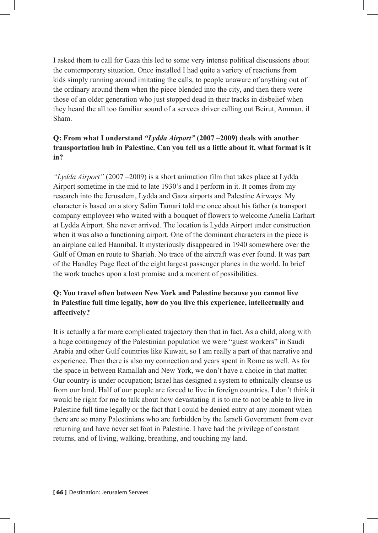I asked them to call for Gaza this led to some very intense political discussions about the contemporary situation. Once installed I had quite a variety of reactions from kids simply running around imitating the calls, to people unaware of anything out of the ordinary around them when the piece blended into the city, and then there were those of an older generation who just stopped dead in their tracks in disbelief when they heard the all too familiar sound of a servees driver calling out Beirut, Amman, il Sham.

## **Q: From what I understand** *"Lydda Airport"* **(2007 –2009) deals with another transportation hub in Palestine. Can you tell us a little about it, what format is it in?**

*"Lydda Airport"* (2007 –2009) is a short animation film that takes place at Lydda Airport sometime in the mid to late 1930's and I perform in it. It comes from my research into the Jerusalem, Lydda and Gaza airports and Palestine Airways. My character is based on a story Salim Tamari told me once about his father (a transport company employee) who waited with a bouquet of flowers to welcome Amelia Earhart at Lydda Airport. She never arrived. The location is Lydda Airport under construction when it was also a functioning airport. One of the dominant characters in the piece is an airplane called Hannibal. It mysteriously disappeared in 1940 somewhere over the Gulf of Oman en route to Sharjah. No trace of the aircraft was ever found. It was part of the Handley Page fleet of the eight largest passenger planes in the world. In brief the work touches upon a lost promise and a moment of possibilities.

## **Q: You travel often between New York and Palestine because you cannot live in Palestine full time legally, how do you live this experience, intellectually and affectively?**

It is actually a far more complicated trajectory then that in fact. As a child, along with a huge contingency of the Palestinian population we were "guest workers" in Saudi Arabia and other Gulf countries like Kuwait, so I am really a part of that narrative and experience. Then there is also my connection and years spent in Rome as well. As for the space in between Ramallah and New York, we don't have a choice in that matter. Our country is under occupation; Israel has designed a system to ethnically cleanse us from our land. Half of our people are forced to live in foreign countries. I don't think it would be right for me to talk about how devastating it is to me to not be able to live in Palestine full time legally or the fact that I could be denied entry at any moment when there are so many Palestinians who are forbidden by the Israeli Government from ever returning and have never set foot in Palestine. I have had the privilege of constant returns, and of living, walking, breathing, and touching my land.